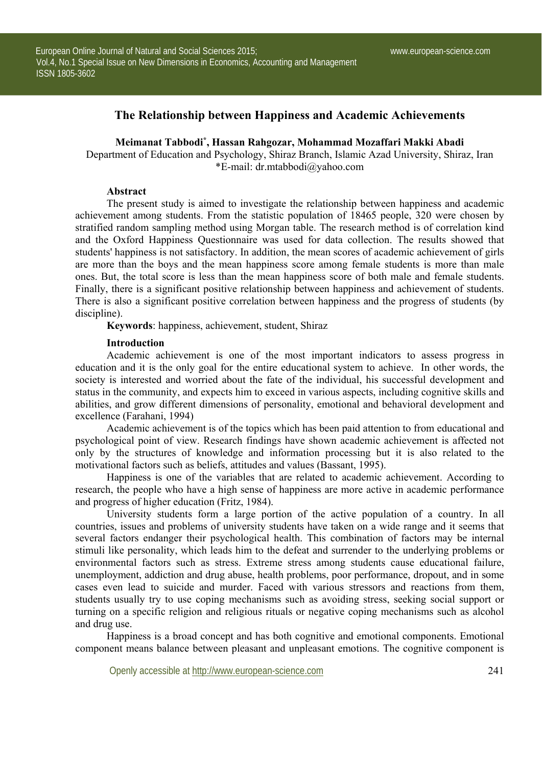## **The Relationship between Happiness and Academic Achievements**

## **Meimanat Tabbodi\* , Hassan Rahgozar, Mohammad Mozaffari Makki Abadi**

Department of Education and Psychology, Shiraz Branch, Islamic Azad University, Shiraz, Iran \*E-mail: dr.mtabbodi@yahoo.com

#### **Abstract**

The present study is aimed to investigate the relationship between happiness and academic achievement among students. From the statistic population of 18465 people, 320 were chosen by stratified random sampling method using Morgan table. The research method is of correlation kind and the Oxford Happiness Questionnaire was used for data collection. The results showed that students' happiness is not satisfactory. In addition, the mean scores of academic achievement of girls are more than the boys and the mean happiness score among female students is more than male ones. But, the total score is less than the mean happiness score of both male and female students. Finally, there is a significant positive relationship between happiness and achievement of students. There is also a significant positive correlation between happiness and the progress of students (by discipline).

**Keywords**: happiness, achievement, student, Shiraz

#### **Introduction**

Academic achievement is one of the most important indicators to assess progress in education and it is the only goal for the entire educational system to achieve. In other words, the society is interested and worried about the fate of the individual, his successful development and status in the community, and expects him to exceed in various aspects, including cognitive skills and abilities, and grow different dimensions of personality, emotional and behavioral development and excellence (Farahani, 1994)

Academic achievement is of the topics which has been paid attention to from educational and psychological point of view. Research findings have shown academic achievement is affected not only by the structures of knowledge and information processing but it is also related to the motivational factors such as beliefs, attitudes and values (Bassant, 1995).

Happiness is one of the variables that are related to academic achievement. According to research, the people who have a high sense of happiness are more active in academic performance and progress of higher education (Fritz, 1984).

University students form a large portion of the active population of a country. In all countries, issues and problems of university students have taken on a wide range and it seems that several factors endanger their psychological health. This combination of factors may be internal stimuli like personality, which leads him to the defeat and surrender to the underlying problems or environmental factors such as stress. Extreme stress among students cause educational failure, unemployment, addiction and drug abuse, health problems, poor performance, dropout, and in some cases even lead to suicide and murder. Faced with various stressors and reactions from them, students usually try to use coping mechanisms such as avoiding stress, seeking social support or turning on a specific religion and religious rituals or negative coping mechanisms such as alcohol and drug use.

Happiness is a broad concept and has both cognitive and emotional components. Emotional component means balance between pleasant and unpleasant emotions. The cognitive component is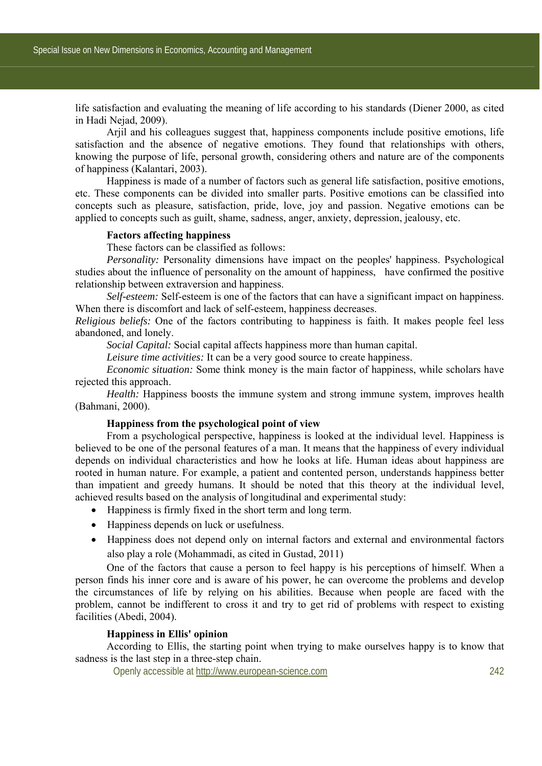life satisfaction and evaluating the meaning of life according to his standards (Diener 2000, as cited in Hadi Nejad, 2009).

Arjil and his colleagues suggest that, happiness components include positive emotions, life satisfaction and the absence of negative emotions. They found that relationships with others, knowing the purpose of life, personal growth, considering others and nature are of the components of happiness (Kalantari, 2003).

Happiness is made of a number of factors such as general life satisfaction, positive emotions, etc. These components can be divided into smaller parts. Positive emotions can be classified into concepts such as pleasure, satisfaction, pride, love, joy and passion. Negative emotions can be applied to concepts such as guilt, shame, sadness, anger, anxiety, depression, jealousy, etc.

#### **Factors affecting happiness**

These factors can be classified as follows:

*Personality:* Personality dimensions have impact on the peoples' happiness. Psychological studies about the influence of personality on the amount of happiness, have confirmed the positive relationship between extraversion and happiness.

*Self-esteem:* Self-esteem is one of the factors that can have a significant impact on happiness. When there is discomfort and lack of self-esteem, happiness decreases.

*Religious beliefs:* One of the factors contributing to happiness is faith. It makes people feel less abandoned, and lonely.

*Social Capital:* Social capital affects happiness more than human capital.

*Leisure time activities:* It can be a very good source to create happiness.

*Economic situation:* Some think money is the main factor of happiness, while scholars have rejected this approach.

*Health:* Happiness boosts the immune system and strong immune system, improves health (Bahmani, 2000).

#### **Happiness from the psychological point of view**

From a psychological perspective, happiness is looked at the individual level. Happiness is believed to be one of the personal features of a man. It means that the happiness of every individual depends on individual characteristics and how he looks at life. Human ideas about happiness are rooted in human nature. For example, a patient and contented person, understands happiness better than impatient and greedy humans. It should be noted that this theory at the individual level, achieved results based on the analysis of longitudinal and experimental study:

- Happiness is firmly fixed in the short term and long term.
- Happiness depends on luck or usefulness.
- Happiness does not depend only on internal factors and external and environmental factors also play a role (Mohammadi, as cited in Gustad, 2011)

One of the factors that cause a person to feel happy is his perceptions of himself. When a person finds his inner core and is aware of his power, he can overcome the problems and develop the circumstances of life by relying on his abilities. Because when people are faced with the problem, cannot be indifferent to cross it and try to get rid of problems with respect to existing facilities (Abedi, 2004).

## **Happiness in Ellis' opinion**

According to Ellis, the starting point when trying to make ourselves happy is to know that sadness is the last step in a three-step chain.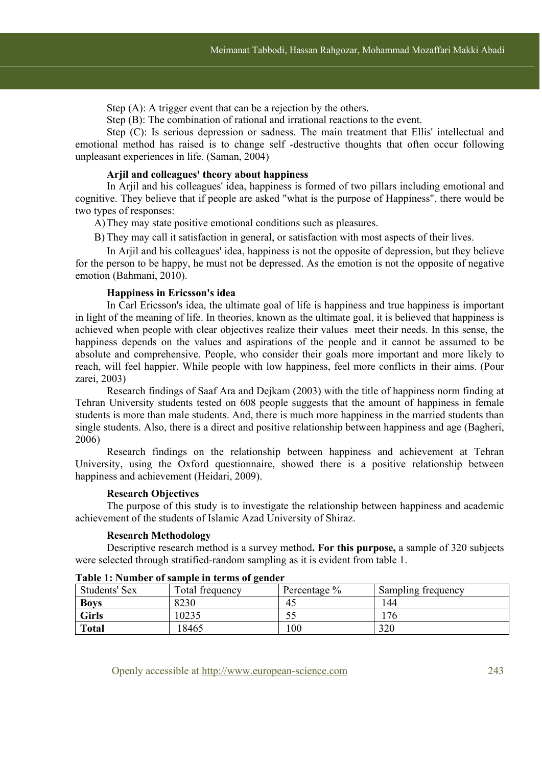Step (A): A trigger event that can be a rejection by the others.

Step (B): The combination of rational and irrational reactions to the event.

Step (C): Is serious depression or sadness. The main treatment that Ellis' intellectual and emotional method has raised is to change self -destructive thoughts that often occur following unpleasant experiences in life. (Saman, 2004)

## **Arjil and colleagues' theory about happiness**

In Arijl and his colleagues' idea, happiness is formed of two pillars including emotional and cognitive. They believe that if people are asked "what is the purpose of Happiness", there would be two types of responses:

A)They may state positive emotional conditions such as pleasures.

B) They may call it satisfaction in general, or satisfaction with most aspects of their lives.

In Arjil and his colleagues' idea, happiness is not the opposite of depression, but they believe for the person to be happy, he must not be depressed. As the emotion is not the opposite of negative emotion (Bahmani, 2010).

## **Happiness in Ericsson's idea**

In Carl Ericsson's idea, the ultimate goal of life is happiness and true happiness is important in light of the meaning of life. In theories, known as the ultimate goal, it is believed that happiness is achieved when people with clear objectives realize their values meet their needs. In this sense, the happiness depends on the values and aspirations of the people and it cannot be assumed to be absolute and comprehensive. People, who consider their goals more important and more likely to reach, will feel happier. While people with low happiness, feel more conflicts in their aims. (Pour zarei, 2003)

Research findings of Saaf Ara and Dejkam (2003) with the title of happiness norm finding at Tehran University students tested on 608 people suggests that the amount of happiness in female students is more than male students. And, there is much more happiness in the married students than single students. Also, there is a direct and positive relationship between happiness and age (Bagheri, 2006)

Research findings on the relationship between happiness and achievement at Tehran University, using the Oxford questionnaire, showed there is a positive relationship between happiness and achievement (Heidari, 2009).

#### **Research Objectives**

The purpose of this study is to investigate the relationship between happiness and academic achievement of the students of Islamic Azad University of Shiraz.

#### **Research Methodology**

Descriptive research method is a survey method**. For this purpose,** a sample of 320 subjects were selected through stratified-random sampling as it is evident from table 1.

| Students' Sex | -<br>Total frequency | Percentage % | Sampling frequency |
|---------------|----------------------|--------------|--------------------|
| <b>Boys</b>   | 8230                 | 45           | 44                 |
| <b>Girls</b>  | 10235                |              | 76                 |
| <b>Total</b>  | 18465                | 100          | 320                |

#### **Table 1: Number of sample in terms of gender**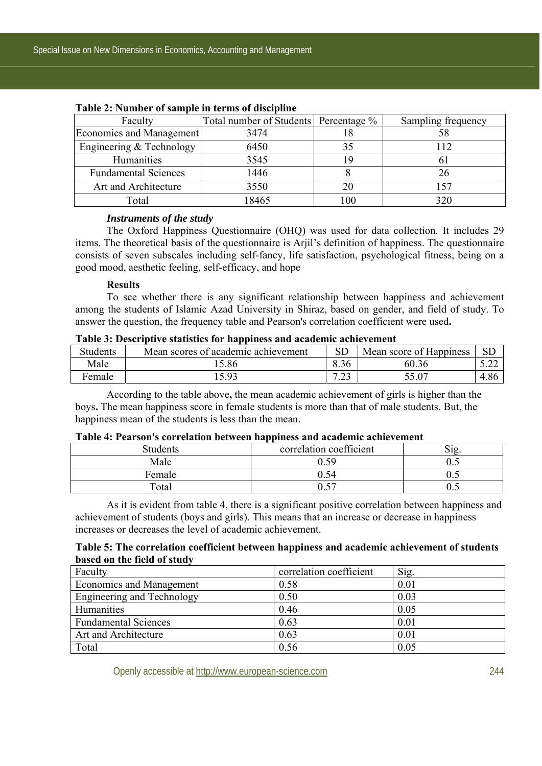| Faculty                     | Total number of Students Percentage % |    | Sampling frequency |  |  |  |
|-----------------------------|---------------------------------------|----|--------------------|--|--|--|
| Economics and Management    | 3474                                  |    | 58                 |  |  |  |
| Engineering & Technology    | 6450                                  |    | 112                |  |  |  |
| Humanities                  | 3545                                  |    | 61                 |  |  |  |
| <b>Fundamental Sciences</b> | 1446                                  |    | 26                 |  |  |  |
| Art and Architecture        | 3550                                  |    | 157                |  |  |  |
| Total                       | 18465                                 | 00 | 320                |  |  |  |

## **Table 2: Number of sample in terms of discipline**

## *Instruments of the study*

The Oxford Happiness Questionnaire (OHQ) was used for data collection. It includes 29 items. The theoretical basis of the questionnaire is Arjil's definition of happiness. The questionnaire consists of seven subscales including self-fancy, life satisfaction, psychological fitness, being on a good mood, aesthetic feeling, self-efficacy, and hope

## **Results**

To see whether there is any significant relationship between happiness and achievement among the students of Islamic Azad University in Shiraz, based on gender, and field of study. To answer the question, the frequency table and Pearson's correlation coefficient were used**.**

# Students Mean scores of academic achievement SD Mean score of Happiness SD Male 15.86 8.36 60.36 5.22 Female 15.93 7.23 55.07 4.86

## **Table 3: Descriptive statistics for happiness and academic achievement**

According to the table above**,** the mean academic achievement of girls is higher than the boys**.** The mean happiness score in female students is more than that of male students. But, the happiness mean of the students is less than the mean.

## **Table 4: Pearson's correlation between happiness and academic achievement**

|                 | --                      |     |
|-----------------|-------------------------|-----|
| <b>Students</b> | correlation coefficient | 812 |
| Male            | 0.59                    | ∪.∪ |
| Female          | 0.54                    | ∪.∪ |
| Total           | 0.5 <sup>7</sup>        | ∪.∪ |

As it is evident from table 4, there is a significant positive correlation between happiness and achievement of students (boys and girls). This means that an increase or decrease in happiness increases or decreases the level of academic achievement.

## **Table 5: The correlation coefficient between happiness and academic achievement of students based on the field of study**

| Faculty                           | correlation coefficient | Sig. |
|-----------------------------------|-------------------------|------|
| Economics and Management          | 0.58                    | 0.01 |
| <b>Engineering and Technology</b> | 0.50                    | 0.03 |
| <b>Humanities</b>                 | 0.46                    | 0.05 |
| <b>Fundamental Sciences</b>       | 0.63                    | 0.01 |
| Art and Architecture              | 0.63                    | 0.01 |
| Total                             | 0.56                    | 0.05 |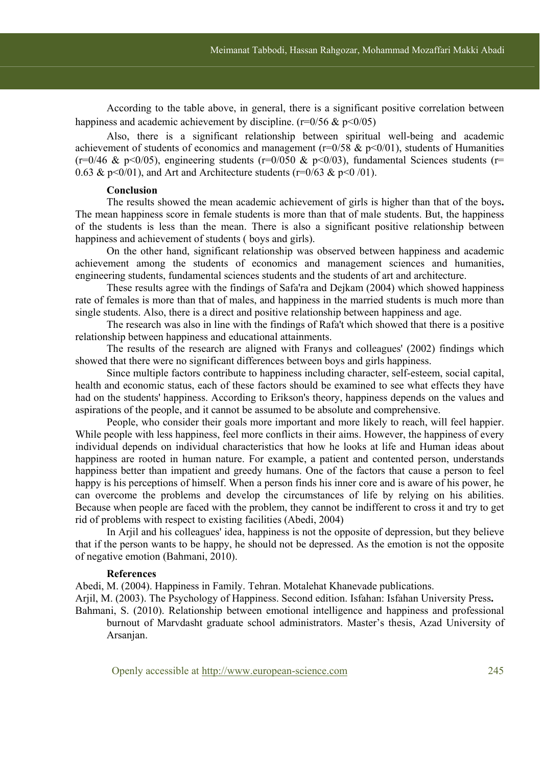According to the table above, in general, there is a significant positive correlation between happiness and academic achievement by discipline. ( $r=0/56 \& p\leq 0/05$ )

Also, there is a significant relationship between spiritual well-being and academic achievement of students of economics and management ( $r=0/58$  &  $p<0/01$ ), students of Humanities (r=0/46 & p<0/05), engineering students (r=0/050 & p<0/03), fundamental Sciences students (r= 0.63 & p<0/01), and Art and Architecture students (r=0/63 & p<0 /01).

## **Conclusion**

The results showed the mean academic achievement of girls is higher than that of the boys**.**  The mean happiness score in female students is more than that of male students. But, the happiness of the students is less than the mean. There is also a significant positive relationship between happiness and achievement of students ( boys and girls).

On the other hand, significant relationship was observed between happiness and academic achievement among the students of economics and management sciences and humanities, engineering students, fundamental sciences students and the students of art and architecture.

These results agree with the findings of Safa'ra and Dejkam (2004) which showed happiness rate of females is more than that of males, and happiness in the married students is much more than single students. Also, there is a direct and positive relationship between happiness and age.

The research was also in line with the findings of Rafa't which showed that there is a positive relationship between happiness and educational attainments.

The results of the research are aligned with Franys and colleagues' (2002) findings which showed that there were no significant differences between boys and girls happiness.

Since multiple factors contribute to happiness including character, self-esteem, social capital, health and economic status, each of these factors should be examined to see what effects they have had on the students' happiness. According to Erikson's theory, happiness depends on the values and aspirations of the people, and it cannot be assumed to be absolute and comprehensive.

People, who consider their goals more important and more likely to reach, will feel happier. While people with less happiness, feel more conflicts in their aims. However, the happiness of every individual depends on individual characteristics that how he looks at life and Human ideas about happiness are rooted in human nature. For example, a patient and contented person, understands happiness better than impatient and greedy humans. One of the factors that cause a person to feel happy is his perceptions of himself. When a person finds his inner core and is aware of his power, he can overcome the problems and develop the circumstances of life by relying on his abilities. Because when people are faced with the problem, they cannot be indifferent to cross it and try to get rid of problems with respect to existing facilities (Abedi, 2004)

In Arjil and his colleagues' idea, happiness is not the opposite of depression, but they believe that if the person wants to be happy, he should not be depressed. As the emotion is not the opposite of negative emotion (Bahmani, 2010).

#### **References**

Abedi, M. (2004). Happiness in Family. Tehran. Motalehat Khanevade publications.

Arjil, M. (2003). The Psychology of Happiness. Second edition. Isfahan: Isfahan University Press**.** 

Bahmani, S. (2010). Relationship between emotional intelligence and happiness and professional burnout of Marvdasht graduate school administrators. Master's thesis, Azad University of Arsanjan.